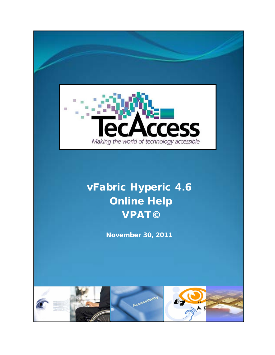

# vFabric Hyperic 4.6 Online Help VPAT©

November 30, 2011

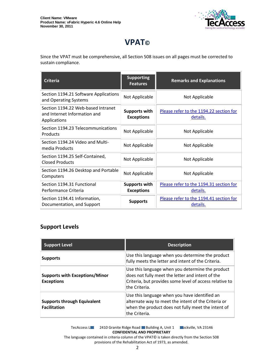

## **VPAT©**

Since the VPAT must be comprehensive, all Section 508 issues on all pages must be corrected to sustain compliance.

| <b>Criteria</b>                                                                    | <b>Supporting</b><br><b>Features</b>      | <b>Remarks and Explanations</b>                     |
|------------------------------------------------------------------------------------|-------------------------------------------|-----------------------------------------------------|
| Section 1194.21 Software Applications<br>and Operating Systems                     | Not Applicable                            | Not Applicable                                      |
| Section 1194.22 Web-based Intranet<br>and Internet Information and<br>Applications | <b>Supports with</b><br><b>Exceptions</b> | Please refer to the 1194.22 section for<br>details. |
| Section 1194.23 Telecommunications<br>Products                                     | Not Applicable                            | Not Applicable                                      |
| Section 1194.24 Video and Multi-<br>media Products                                 | Not Applicable                            | Not Applicable                                      |
| Section 1194.25 Self-Contained,<br><b>Closed Products</b>                          | Not Applicable                            | Not Applicable                                      |
| Section 1194.26 Desktop and Portable<br>Computers                                  | Not Applicable                            | Not Applicable                                      |
| Section 1194.31 Functional<br>Performance Criteria                                 | <b>Supports with</b><br><b>Exceptions</b> | Please refer to the 1194.31 section for<br>details. |
| Section 1194.41 Information,<br>Documentation, and Support                         | <b>Supports</b>                           | Please refer to the 1194.41 section for<br>details. |

#### **Support Levels**

| <b>Support Level</b>                                       | <b>Description</b>                                                                                                                                                               |
|------------------------------------------------------------|----------------------------------------------------------------------------------------------------------------------------------------------------------------------------------|
| <b>Supports</b>                                            | Use this language when you determine the product<br>fully meets the letter and intent of the Criteria.                                                                           |
| <b>Supports with Exceptions/Minor</b><br><b>Exceptions</b> | Use this language when you determine the product<br>does not fully meet the letter and intent of the<br>Criteria, but provides some level of access relative to<br>the Criteria. |
| <b>Supports through Equivalent</b><br><b>Facilitation</b>  | Use this language when you have identified an<br>alternate way to meet the intent of the Criteria or<br>when the product does not fully meet the intent of<br>the Criteria.      |

TecAccess LLC 2410 Granite Ridge Road Building A, Unit 1 Cockville, VA 23146 **CONFIDENTIAL AND PROPRIETARY**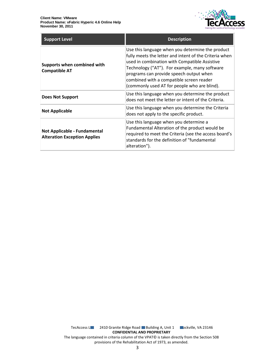

| <b>Support Level</b>                                                       | <b>Description</b>                                                                                                                                                                                                                                                                                                                                  |
|----------------------------------------------------------------------------|-----------------------------------------------------------------------------------------------------------------------------------------------------------------------------------------------------------------------------------------------------------------------------------------------------------------------------------------------------|
| Supports when combined with<br><b>Compatible AT</b>                        | Use this language when you determine the product<br>fully meets the letter and intent of the Criteria when<br>used in combination with Compatible Assistive<br>Technology ("AT"). For example, many software<br>programs can provide speech output when<br>combined with a compatible screen reader<br>(commonly used AT for people who are blind). |
| <b>Does Not Support</b>                                                    | Use this language when you determine the product<br>does not meet the letter or intent of the Criteria.                                                                                                                                                                                                                                             |
| <b>Not Applicable</b>                                                      | Use this language when you determine the Criteria<br>does not apply to the specific product.                                                                                                                                                                                                                                                        |
| <b>Not Applicable - Fundamental</b><br><b>Alteration Exception Applies</b> | Use this language when you determine a<br>Fundamental Alteration of the product would be<br>required to meet the Criteria (see the access board's<br>standards for the definition of "fundamental<br>alteration").                                                                                                                                  |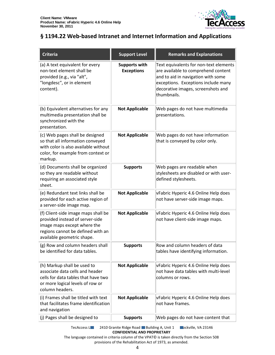

#### <span id="page-3-0"></span>**§ 1194.22 Web-based Intranet and Internet Information and Applications**

| <b>Criteria</b>                                                                                                                                                          | <b>Support Level</b>                      | <b>Remarks and Explanations</b>                                                                                                                                                                                 |
|--------------------------------------------------------------------------------------------------------------------------------------------------------------------------|-------------------------------------------|-----------------------------------------------------------------------------------------------------------------------------------------------------------------------------------------------------------------|
| (a) A text equivalent for every<br>non-text element shall be<br>provided (e.g., via "alt",<br>"longdesc", or in element<br>content).                                     | <b>Supports with</b><br><b>Exceptions</b> | Text equivalents for non-text elements<br>are available to comprehend content<br>and to aid in navigation with some<br>exceptions. Exceptions include many<br>decorative images, screenshots and<br>thumbnails. |
| (b) Equivalent alternatives for any<br>multimedia presentation shall be<br>synchronized with the<br>presentation.                                                        | <b>Not Applicable</b>                     | Web pages do not have multimedia<br>presentations.                                                                                                                                                              |
| (c) Web pages shall be designed<br>so that all information conveyed<br>with color is also available without<br>color, for example from context or<br>markup.             | <b>Not Applicable</b>                     | Web pages do not have information<br>that is conveyed by color only.                                                                                                                                            |
| (d) Documents shall be organized<br>so they are readable without<br>requiring an associated style<br>sheet.                                                              | <b>Supports</b>                           | Web pages are readable when<br>stylesheets are disabled or with user-<br>defined stylesheets.                                                                                                                   |
| (e) Redundant text links shall be<br>provided for each active region of<br>a server-side image map.                                                                      | <b>Not Applicable</b>                     | vFabric Hyperic 4.6 Online Help does<br>not have server-side image maps.                                                                                                                                        |
| (f) Client-side image maps shall be<br>provided instead of server-side<br>image maps except where the<br>regions cannot be defined with an<br>available geometric shape. | <b>Not Applicable</b>                     | vFabric Hyperic 4.6 Online Help does<br>not have client-side image maps.                                                                                                                                        |
| (g) Row and column headers shall<br>be identified for data tables.                                                                                                       | <b>Supports</b>                           | Row and column headers of data<br>tables have identifying information.                                                                                                                                          |
| (h) Markup shall be used to<br>associate data cells and header<br>cells for data tables that have two<br>or more logical levels of row or<br>column headers.             | <b>Not Applicable</b>                     | vFabric Hyperic 4.6 Online Help does<br>not have data tables with multi-level<br>columns or rows.                                                                                                               |
| (i) Frames shall be titled with text<br>that facilitates frame identification<br>and navigation                                                                          | <b>Not Applicable</b>                     | vFabric Hyperic 4.6 Online Help does<br>not have frames.                                                                                                                                                        |
| (j) Pages shall be designed to                                                                                                                                           | <b>Supports</b>                           | Web pages do not have content that                                                                                                                                                                              |

TecAccess L**LC** 2410 Granite Ridge Road Building A, Unit 1 **Rockville, VA 23146 CONFIDENTIAL AND PROPRIETARY**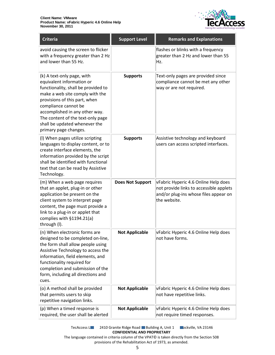

| <b>Criteria</b>                                                                                                                                                                                                                                                                                                             | <b>Support Level</b>    | <b>Remarks and Explanations</b>                                                                                                          |
|-----------------------------------------------------------------------------------------------------------------------------------------------------------------------------------------------------------------------------------------------------------------------------------------------------------------------------|-------------------------|------------------------------------------------------------------------------------------------------------------------------------------|
| avoid causing the screen to flicker<br>with a frequency greater than 2 Hz<br>and lower than 55 Hz.                                                                                                                                                                                                                          |                         | flashes or blinks with a frequency<br>greater than 2 Hz and lower than 55<br>Hz.                                                         |
| (k) A text-only page, with<br>equivalent information or<br>functionality, shall be provided to<br>make a web site comply with the<br>provisions of this part, when<br>compliance cannot be<br>accomplished in any other way.<br>The content of the text-only page<br>shall be updated whenever the<br>primary page changes. | <b>Supports</b>         | Text-only pages are provided since<br>compliance cannot be met any other<br>way or are not required.                                     |
| (I) When pages utilize scripting<br>languages to display content, or to<br>create interface elements, the<br>information provided by the script<br>shall be identified with functional<br>text that can be read by Assistive<br>Technology.                                                                                 | <b>Supports</b>         | Assistive technology and keyboard<br>users can access scripted interfaces.                                                               |
| (m) When a web page requires<br>that an applet, plug-in or other<br>application be present on the<br>client system to interpret page<br>content, the page must provide a<br>link to a plug-in or applet that<br>complies with §1194.21(a)<br>through (I).                                                                   | <b>Does Not Support</b> | vFabric Hyperic 4.6 Online Help does<br>not provide links to accessible applets<br>and/or plug-ins whose files appear on<br>the website. |
| (n) When electronic forms are<br>designed to be completed on-line,<br>the form shall allow people using<br>Assistive Technology to access the<br>information, field elements, and<br>functionality required for<br>completion and submission of the<br>form, including all directions and<br>cues.                          | <b>Not Applicable</b>   | vFabric Hyperic 4.6 Online Help does<br>not have forms.                                                                                  |
| (o) A method shall be provided<br>that permits users to skip<br>repetitive navigation links.                                                                                                                                                                                                                                | <b>Not Applicable</b>   | vFabric Hyperic 4.6 Online Help does<br>not have repetitive links.                                                                       |
| (p) When a timed response is<br>required, the user shall be alerted                                                                                                                                                                                                                                                         | <b>Not Applicable</b>   | vFabric Hyperic 4.6 Online Help does<br>not require timed responses.                                                                     |

TecAccess L**LC** 2410 Granite Ridge Road Building A, Unit 1 **Rockville, VA 23146 CONFIDENTIAL AND PROPRIETARY**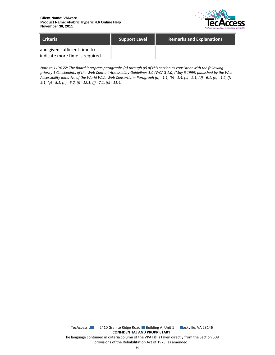

| Criteria                                                        | <b>Support Level</b> | <b>Remarks and Explanations</b> |
|-----------------------------------------------------------------|----------------------|---------------------------------|
| and given sufficient time to<br>indicate more time is required. |                      |                                 |

*Note to 1194.22: The Board interprets paragraphs (a) through (k) of this section as consistent with the following priority 1 Checkpoints of the Web Content Accessibility Guidelines 1.0 (WCAG 1.0) (May 5 1999) published by the Web Accessibility Initiative of the World Wide Web Consortium: Paragraph (a) - 1.1, (b) - 1.4, (c) - 2.1, (d) - 6.1, (e) - 1.2, (f) - 9.1, (g) - 5.1, (h) - 5.2, (i) - 12.1, (j) - 7.1, (k) - 11.4.*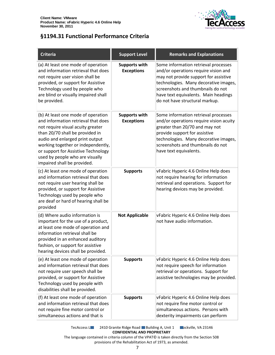

### <span id="page-6-0"></span>**§1194.31 Functional Performance Criteria**

| <b>Criteria</b>                                                                                                                                                                                                                                                                                                                     | <b>Support Level</b>                      | <b>Remarks and Explanations</b>                                                                                                                                                                                                                                               |
|-------------------------------------------------------------------------------------------------------------------------------------------------------------------------------------------------------------------------------------------------------------------------------------------------------------------------------------|-------------------------------------------|-------------------------------------------------------------------------------------------------------------------------------------------------------------------------------------------------------------------------------------------------------------------------------|
| (a) At least one mode of operation<br>and information retrieval that does<br>not require user vision shall be<br>provided, or support for Assistive<br>Technology used by people who<br>are blind or visually impaired shall<br>be provided.                                                                                        | <b>Supports with</b><br><b>Exceptions</b> | Some information retrieval processes<br>and/or operations require vision and<br>may not provide support for assistive<br>technologies. Many decorative images,<br>screenshots and thumbnails do not<br>have text equivalents. Main headings<br>do not have structural markup. |
| (b) At least one mode of operation<br>and information retrieval that does<br>not require visual acuity greater<br>than 20/70 shall be provided in<br>audio and enlarged print output<br>working together or independently,<br>or support for Assistive Technology<br>used by people who are visually<br>impaired shall be provided. | <b>Supports with</b><br><b>Exceptions</b> | Some information retrieval processes<br>and/or operations require vision acuity<br>greater than 20/70 and may not<br>provide support for assistive<br>technologies. Many decorative images,<br>screenshots and thumbnails do not<br>have text equivalents.                    |
| (c) At least one mode of operation<br>and information retrieval that does<br>not require user hearing shall be<br>provided, or support for Assistive<br>Technology used by people who<br>are deaf or hard of hearing shall be<br>provided                                                                                           | <b>Supports</b>                           | vFabric Hyperic 4.6 Online Help does<br>not require hearing for information<br>retrieval and operations. Support for<br>hearing devices may be provided.                                                                                                                      |
| (d) Where audio information is<br>important for the use of a product,<br>at least one mode of operation and<br>information retrieval shall be<br>provided in an enhanced auditory<br>fashion, or support for assistive<br>hearing devices shall be provided.                                                                        | <b>Not Applicable</b>                     | vFabric Hyperic 4.6 Online Help does<br>not have audio information.                                                                                                                                                                                                           |
| (e) At least one mode of operation<br>and information retrieval that does<br>not require user speech shall be<br>provided, or support for Assistive<br>Technology used by people with<br>disabilities shall be provided.                                                                                                            | <b>Supports</b>                           | vFabric Hyperic 4.6 Online Help does<br>not require speech for information<br>retrieval or operations. Support for<br>assistive technologies may be provided.                                                                                                                 |
| (f) At least one mode of operation<br>and information retrieval that does<br>not require fine motor control or<br>simultaneous actions and that is                                                                                                                                                                                  | <b>Supports</b>                           | vFabric Hyperic 4.6 Online Help does<br>not require fine motor control or<br>simultaneous actions. Persons with<br>dexterity impairments can perform                                                                                                                          |

TecAccess L**LC** 2410 Granite Ridge Road Building A, Unit 1 **Rockville, VA 23146 CONFIDENTIAL AND PROPRIETARY**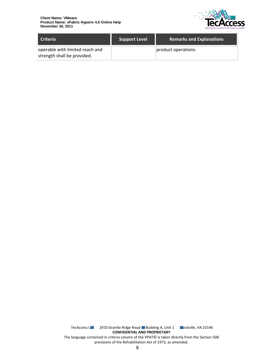

| <b>Criteria</b>                                                | <b>Support Level</b> | <b>Remarks and Explanations</b> |
|----------------------------------------------------------------|----------------------|---------------------------------|
| operable with limited reach and<br>strength shall be provided. |                      | product operations.             |